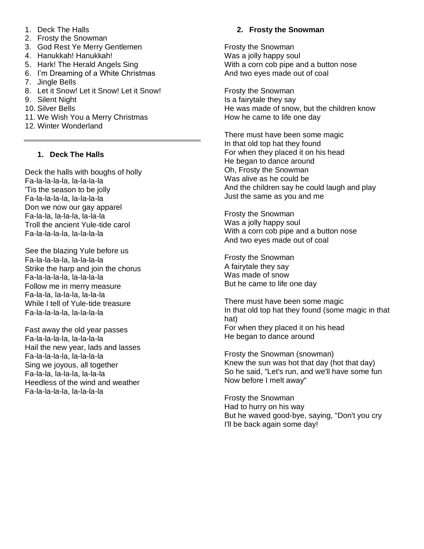- 1. Deck The Halls
- 2. Frosty the Snowman
- 3. God Rest Ye Merry Gentlemen
- 4. Hanukkah! Hanukkah!
- 5. Hark! The Herald Angels Sing
- 6. I'm Dreaming of a White Christmas
- 7. Jingle Bells
- 8. Let it Snow! Let it Snow! Let it Snow!
- 9. Silent Night
- 10. Silver Bells
- 11. We Wish You a Merry Christmas
- 12. Winter Wonderland

## **1. Deck The Halls**

Deck the halls with boughs of holly Fa-la-la-la-la, la-la-la-la 'Tis the season to be jolly Fa-la-la-la-la, la-la-la-la Don we now our gay apparel Fa-la-la, la-la-la, la-la-la Troll the ancient Yule-tide carol Fa-la-la-la-la, la-la-la-la

See the blazing Yule before us Fa-la-la-la-la, la-la-la-la Strike the harp and join the chorus Fa-la-la-la-la, la-la-la-la Follow me in merry measure Fa-la-la, la-la-la, la-la-la While I tell of Yule-tide treasure Fa-la-la-la-la, la-la-la-la

Fast away the old year passes Fa-la-la-la-la, la-la-la-la Hail the new year, lads and lasses Fa-la-la-la-la, la-la-la-la Sing we joyous, all together Fa-la-la, la-la-la, la-la-la Heedless of the wind and weather Fa-la-la-la-la, la-la-la-la

# **2. Frosty the Snowman**

Frosty the Snowman Was a jolly happy soul With a corn cob pipe and a button nose And two eyes made out of coal

Frosty the Snowman Is a fairytale they say He was made of snow, but the children know How he came to life one day

There must have been some magic In that old top hat they found For when they placed it on his head He began to dance around Oh, Frosty the Snowman Was alive as he could be And the children say he could laugh and play Just the same as you and me

Frosty the Snowman Was a jolly happy soul With a corn cob pipe and a button nose And two eyes made out of coal

Frosty the Snowman A fairytale they say Was made of snow But he came to life one day

There must have been some magic In that old top hat they found (some magic in that hat) For when they placed it on his head He began to dance around

Frosty the Snowman (snowman) Knew the sun was hot that day (hot that day) So he said, "Let's run, and we'll have some fun Now before I melt away"

Frosty the Snowman Had to hurry on his way But he waved good-bye, saying, "Don't you cry I'll be back again some day!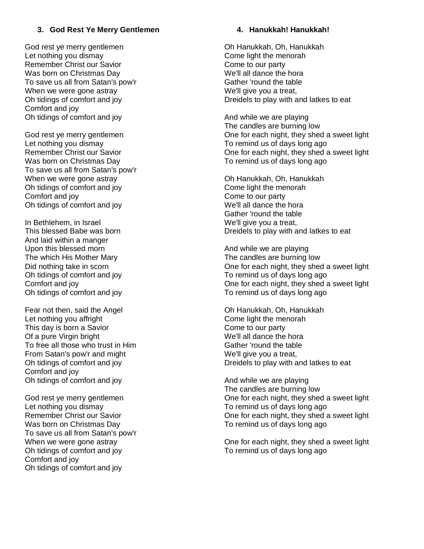#### **3. God Rest Ye Merry Gentlemen**

God rest ye merry gentlemen Let nothing you dismay Remember Christ our Savior Was born on Christmas Day To save us all from Satan's pow'r When we were gone astray Oh tidings of comfort and joy Comfort and joy Oh tidings of comfort and joy

God rest ye merry gentlemen Let nothing you dismay Remember Christ our Savior Was born on Christmas Day To save us all from Satan's pow'r When we were gone astray Oh tidings of comfort and joy Comfort and joy Oh tidings of comfort and joy

In Bethlehem, in Israel This blessed Babe was born And laid within a manger Upon this blessed morn The which His Mother Mary Did nothing take in scorn Oh tidings of comfort and joy Comfort and joy Oh tidings of comfort and joy

Fear not then, said the Angel Let nothing you affright This day is born a Savior Of a pure Virgin bright To free all those who trust in Him From Satan's pow'r and might Oh tidings of comfort and joy Comfort and joy Oh tidings of comfort and joy

God rest ye merry gentlemen Let nothing you dismay Remember Christ our Savior Was born on Christmas Day To save us all from Satan's pow'r When we were gone astray Oh tidings of comfort and joy Comfort and joy Oh tidings of comfort and joy

#### **4. Hanukkah! Hanukkah!**

Oh Hanukkah, Oh, Hanukkah Come light the menorah Come to our party We'll all dance the hora Gather 'round the table We'll give you a treat, Dreidels to play with and latkes to eat

And while we are playing The candles are burning low One for each night, they shed a sweet light To remind us of days long ago One for each night, they shed a sweet light To remind us of days long ago

Oh Hanukkah, Oh, Hanukkah Come light the menorah Come to our party We'll all dance the hora Gather 'round the table We'll give you a treat, Dreidels to play with and latkes to eat

And while we are playing The candles are burning low One for each night, they shed a sweet light To remind us of days long ago One for each night, they shed a sweet light To remind us of days long ago

Oh Hanukkah, Oh, Hanukkah Come light the menorah Come to our party We'll all dance the hora Gather 'round the table We'll give you a treat, Dreidels to play with and latkes to eat

And while we are playing The candles are burning low One for each night, they shed a sweet light To remind us of days long ago One for each night, they shed a sweet light To remind us of days long ago

One for each night, they shed a sweet light To remind us of days long ago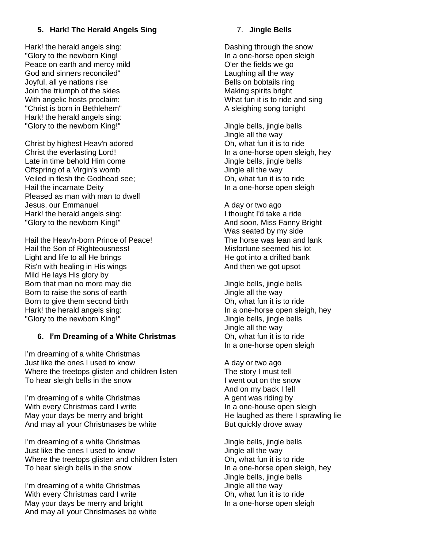## **5. Hark! The Herald Angels Sing**

Hark! the herald angels sing: "Glory to the newborn King! Peace on earth and mercy mild God and sinners reconciled" Joyful, all ye nations rise Join the triumph of the skies With angelic hosts proclaim: "Christ is born in Bethlehem" Hark! the herald angels sing: "Glory to the newborn King!"

Christ by highest Heav'n adored Christ the everlasting Lord! Late in time behold Him come Offspring of a Virgin's womb Veiled in flesh the Godhead see; Hail the incarnate Deity Pleased as man with man to dwell Jesus, our Emmanuel Hark! the herald angels sing: "Glory to the newborn King!"

Hail the Heav'n-born Prince of Peace! Hail the Son of Righteousness! Light and life to all He brings Ris'n with healing in His wings Mild He lays His glory by Born that man no more may die Born to raise the sons of earth Born to give them second birth Hark! the herald angels sing: "Glory to the newborn King!"

#### **6. I'm Dreaming of a White Christmas**

I'm dreaming of a white Christmas Just like the ones I used to know Where the treetops glisten and children listen To hear sleigh bells in the snow

I'm dreaming of a white Christmas With every Christmas card I write May your days be merry and bright And may all your Christmases be white

I'm dreaming of a white Christmas Just like the ones I used to know Where the treetops glisten and children listen To hear sleigh bells in the snow

I'm dreaming of a white Christmas With every Christmas card I write May your days be merry and bright And may all your Christmases be white

#### 7. **Jingle Bells**

Dashing through the snow In a one-horse open sleigh O'er the fields we go Laughing all the way Bells on bobtails ring Making spirits bright What fun it is to ride and sing A sleighing song tonight

Jingle bells, jingle bells Jingle all the way Oh, what fun it is to ride In a one-horse open sleigh, hey Jingle bells, jingle bells Jingle all the way Oh, what fun it is to ride In a one-horse open sleigh

A day or two ago I thought I'd take a ride And soon, Miss Fanny Bright Was seated by my side The horse was lean and lank Misfortune seemed his lot He got into a drifted bank And then we got upsot

Jingle bells, jingle bells Jingle all the way Oh, what fun it is to ride In a one-horse open sleigh, hey Jingle bells, jingle bells Jingle all the way Oh, what fun it is to ride In a one-horse open sleigh

A day or two ago The story I must tell I went out on the snow And on my back I fell A gent was riding by In a one-house open sleigh He laughed as there I sprawling lie But quickly drove away

Jingle bells, jingle bells Jingle all the way Oh, what fun it is to ride In a one-horse open sleigh, hey Jingle bells, jingle bells Jingle all the way Oh, what fun it is to ride In a one-horse open sleigh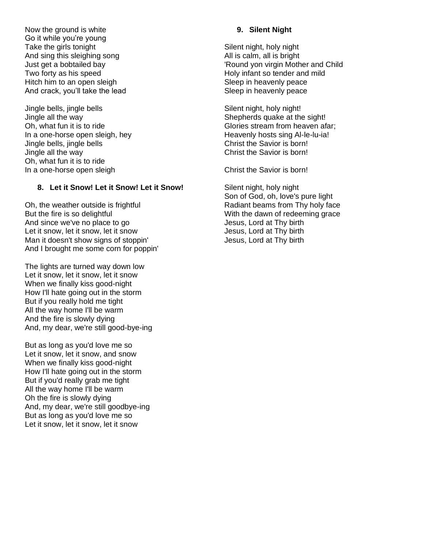Now the ground is white Go it while you're young Take the girls tonight And sing this sleighing song Just get a bobtailed bay Two forty as his speed Hitch him to an open sleigh And crack, you'll take the lead

Jingle bells, jingle bells Jingle all the way Oh, what fun it is to ride In a one-horse open sleigh, hey Jingle bells, jingle bells Jingle all the way Oh, what fun it is to ride In a one-horse open sleigh

## **8. Let it Snow! Let it Snow! Let it Snow!**

Oh, the weather outside is frightful But the fire is so delightful And since we've no place to go Let it snow, let it snow, let it snow Man it doesn't show signs of stoppin' And I brought me some corn for poppin'

The lights are turned way down low Let it snow, let it snow, let it snow When we finally kiss good-night How I'll hate going out in the storm But if you really hold me tight All the way home I'll be warm And the fire is slowly dying And, my dear, we're still good-bye-ing

But as long as you'd love me so Let it snow, let it snow, and snow When we finally kiss good-night How I'll hate going out in the storm But if you'd really grab me tight All the way home I'll be warm Oh the fire is slowly dying And, my dear, we're still goodbye-ing But as long as you'd love me so Let it snow, let it snow, let it snow

#### **9. Silent Night**

Silent night, holy night All is calm, all is bright 'Round yon virgin Mother and Child Holy infant so tender and mild Sleep in heavenly peace Sleep in heavenly peace

Silent night, holy night! Shepherds quake at the sight! Glories stream from heaven afar; Heavenly hosts sing Al-le-lu-ia! Christ the Savior is born! Christ the Savior is born!

Christ the Savior is born!

Silent night, holy night Son of God, oh, love's pure light Radiant beams from Thy holy face With the dawn of redeeming grace Jesus, Lord at Thy birth Jesus, Lord at Thy birth Jesus, Lord at Thy birth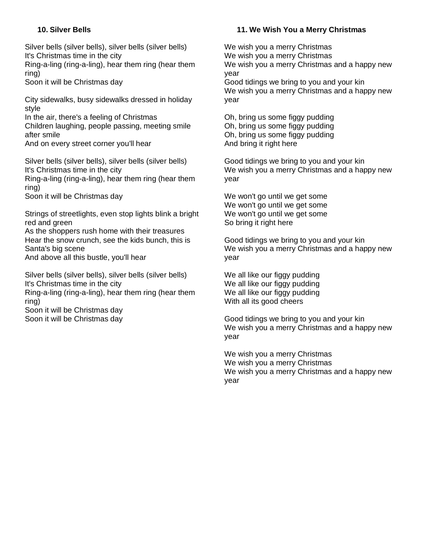# **10. Silver Bells**

Silver bells (silver bells), silver bells (silver bells) It's Christmas time in the city

Ring-a-ling (ring-a-ling), hear them ring (hear them ring)

Soon it will be Christmas day

City sidewalks, busy sidewalks dressed in holiday style

In the air, there's a feeling of Christmas Children laughing, people passing, meeting smile after smile

And on every street corner you'll hear

Silver bells (silver bells), silver bells (silver bells) It's Christmas time in the city

Ring-a-ling (ring-a-ling), hear them ring (hear them ring)

Soon it will be Christmas day

Strings of streetlights, even stop lights blink a bright red and green

As the shoppers rush home with their treasures Hear the snow crunch, see the kids bunch, this is Santa's big scene

And above all this bustle, you'll hear

Silver bells (silver bells), silver bells (silver bells) It's Christmas time in the city

Ring-a-ling (ring-a-ling), hear them ring (hear them ring)

Soon it will be Christmas day Soon it will be Christmas day

# **11. We Wish You a Merry Christmas**

We wish you a merry Christmas We wish you a merry Christmas We wish you a merry Christmas and a happy new year

Good tidings we bring to you and your kin We wish you a merry Christmas and a happy new year

Oh, bring us some figgy pudding Oh, bring us some figgy pudding Oh, bring us some figgy pudding And bring it right here

Good tidings we bring to you and your kin We wish you a merry Christmas and a happy new year

We won't go until we get some We won't go until we get some We won't go until we get some So bring it right here

Good tidings we bring to you and your kin We wish you a merry Christmas and a happy new year

We all like our figgy pudding We all like our figgy pudding We all like our figgy pudding With all its good cheers

Good tidings we bring to you and your kin We wish you a merry Christmas and a happy new year

We wish you a merry Christmas We wish you a merry Christmas We wish you a merry Christmas and a happy new year